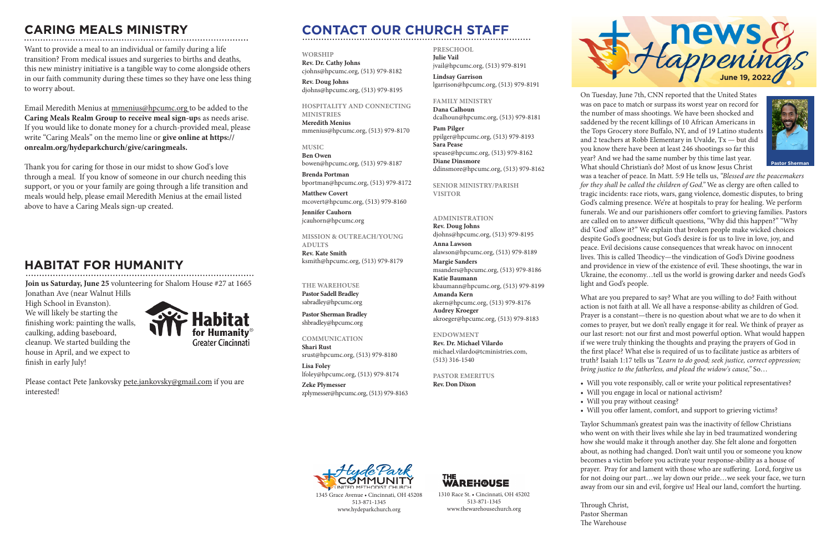On Tuesday, June 7th, CNN reported that the United States was on pace to match or surpass its worst year on record for the number of mass shootings. We have been shocked and saddened by the recent killings of 10 African Americans in the Tops Grocery store Buffalo, NY, and of 19 Latino students and 2 teachers at Robb Elementary in Uvalde, Tx — but did you know there have been at least 246 shootings so far this year? And we had the same number by this time last year. What should Christian's do? Most of us know Jesus Christ was a teacher of peace. In Matt. 5:9 He tells us, *"Blessed are the peacemakers for they shall be called the children of God."* We as clergy are often called to tragic incidents: race riots, wars, gang violence, domestic disputes, to bring God's calming presence. We're at hospitals to pray for healing. We perform funerals. We and our parishioners offer comfort to grieving families. Pastors are called on to answer difficult questions, "Why did this happen?" "Why did 'God' allow it?" We explain that broken people make wicked choices despite God's goodness; but God's desire is for us to live in love, joy, and peace. Evil decisions cause consequences that wreak havoc on innocent lives. This is called Theodicy—the vindication of God's Divine goodness and providence in view of the existence of evil. These shootings, the war in Ukraine, the economy…tell us the world is growing darker and needs God's light and God's people.

What are you prepared to say? What are you willing to do? Faith without action is not faith at all. We all have a response-ability as children of God. Prayer is a constant—there is no question about what we are to do when it comes to prayer, but we don't really engage it for real. We think of prayer as our last resort: not our first and most powerful option. What would happen if we were truly thinking the thoughts and praying the prayers of God in the first place? What else is required of us to facilitate justice as arbiters of truth? Isaiah 1:17 tells us *"Learn to do good; seek justice, correct oppression; bring justice to the fatherless, and plead the widow's cause,"* So…

- 
- 
- 

• Will you vote responsibly, call or write your political representatives? • Will you engage in local or national activism?

• Will you pray without ceasing?

• Will you offer lament, comfort, and support to grieving victims?

Taylor Schumman's greatest pain was the inactivity of fellow Christians who went on with their lives while she lay in bed traumatized wondering how she would make it through another day. She felt alone and forgotten about, as nothing had changed. Don't wait until you or someone you know becomes a victim before you activate your response-ability as a house of prayer. Pray for and lament with those who are suffering. Lord, forgive us for not doing our part…we lay down our pride…we seek your face, we turn away from our sin and evil, forgive us! Heal our land, comfort the hurting.

Through Christ, Pastor Sherman The Warehouse



# **CONTACT OUR CHURCH STAFF**

#### **WORSHIP**

**Rev. Dr. Cathy Johns**  cjohns@hpcumc.org, (513) 979-8182

**Rev. Doug Johns** djohns@hpcumc.org, (513) 979-8195

#### **HOSPITALITY AND CONNECTING MINISTRIES**

**Meredith Menius** mmenius@hpcumc.org, (513) 979-8170

**MUSIC Ben Owen** bowen@hpcumc.org, (513) 979-8187

**Brenda Portman** bportman@hpcumc.org, (513) 979-8172

**Matthew Covert**  mcovert@hpcumc.org, (513) 979-8160

**Jennifer Cauhorn** jcauhorn@hpcumc.org

**MISSION & OUTREACH/YOUNG ADULTS Rev. Kate Smith** ksmith@hpcumc.org, (513) 979-8179

## **THE WAREHOUSE**

**Pastor Sadell Bradley** sabradley@hpcumc.org

**Pastor Sherman Bradley** shbradley@hpcumc.org

#### **COMMUNICATION Shari Rust**

srust@hpcumc.org, (513) 979-8180 **Lisa Foley**  lfoley@hpcumc.org, (513) 979-8174

**Zeke Plymesser** zplymesser@hpcumc.org, (513) 979-8163



#### **PRESCHOOL Julie Vail** jvail@hpcumc.org, (513) 979-8191

**Lindsay Garrison** lgarrison@hpcumc.org, (513) 979-8191

**FAMILY MINISTRY Dana Calhoun** dcalhoun@hpcumc.org, (513) 979-8181

**Pam Pilger** ppilger@hpcumc.org, (513) 979-8193 **Sara Pease** spease@hpcumc.org, (513) 979-8162 **Diane Dinsmore** ddinsmore@hpcumc.org, (513) 979-8162

**SENIOR MINISTRY/PARISH VISITOR**

### **ADMINISTRATION**

**Rev. Doug Johns** djohns@hpcumc.org, (513) 979-8195 **Anna Lawson** alawson@hpcumc.org, (513) 979-8189 **Margie Sanders** msanders@hpcumc.org, (513) 979-8186 **Katie Baumann** kbaumann@hpcumc.org, (513) 979-8199 **Amanda Kern** akern@hpcumc.org, (513) 979-8176 **Audrey Kroeger** akroeger@hpcumc.org, (513) 979-8183

### **ENDOWMENT**

**Rev. Dr. Michael Vilardo** michael.vilardo@tcministries.com, (513) 316-1540

### **PASTOR EMERITUS**

**Rev. Don Dixon**



1345 Grace Avenue • Cincinnati, OH 45208 513-871-1345 www.hydeparkchurch.org

1310 Race St. • Cincinnati, OH 45202 513-871-1345 www.thewarehousechurch.org

**WAREH@USE** 

# **CARING MEALS MINISTRY**

**Pastor Sherman**

Want to provide a meal to an individual or family during a life transition? From medical issues and surgeries to births and deaths, this new ministry initiative is a tangible way to come alongside others in our faith community during these times so they have one less thing to worry about.

Email Meredith Menius at mmenius@hpcumc.org to be added to the **Caring Meals Realm Group to receive meal sign-up**s as needs arise. If you would like to donate money for a church-provided meal, please write "Caring Meals" on the memo line or **give online at https:// onrealm.org/hydeparkchurch/give/caringmeals.**

Thank you for caring for those in our midst to show God's love through a meal. If you know of someone in our church needing this support, or you or your family are going through a life transition and meals would help, please email Meredith Menius at the email listed above to have a Caring Meals sign-up created.

**Join us Saturday, June 25** volunteering for Shalom House #27 at 1665

Jonathan Ave (near Walnut Hills High School in Evanston). We will likely be starting the finishing work: painting the walls, caulking, adding baseboard, cleanup. We started building the house in April, and we expect to finish in early July!



Please contact Pete Jankovsky pete.jankovsky@gmail.com if you are interested!

## **HABITAT FOR HUMANITY**